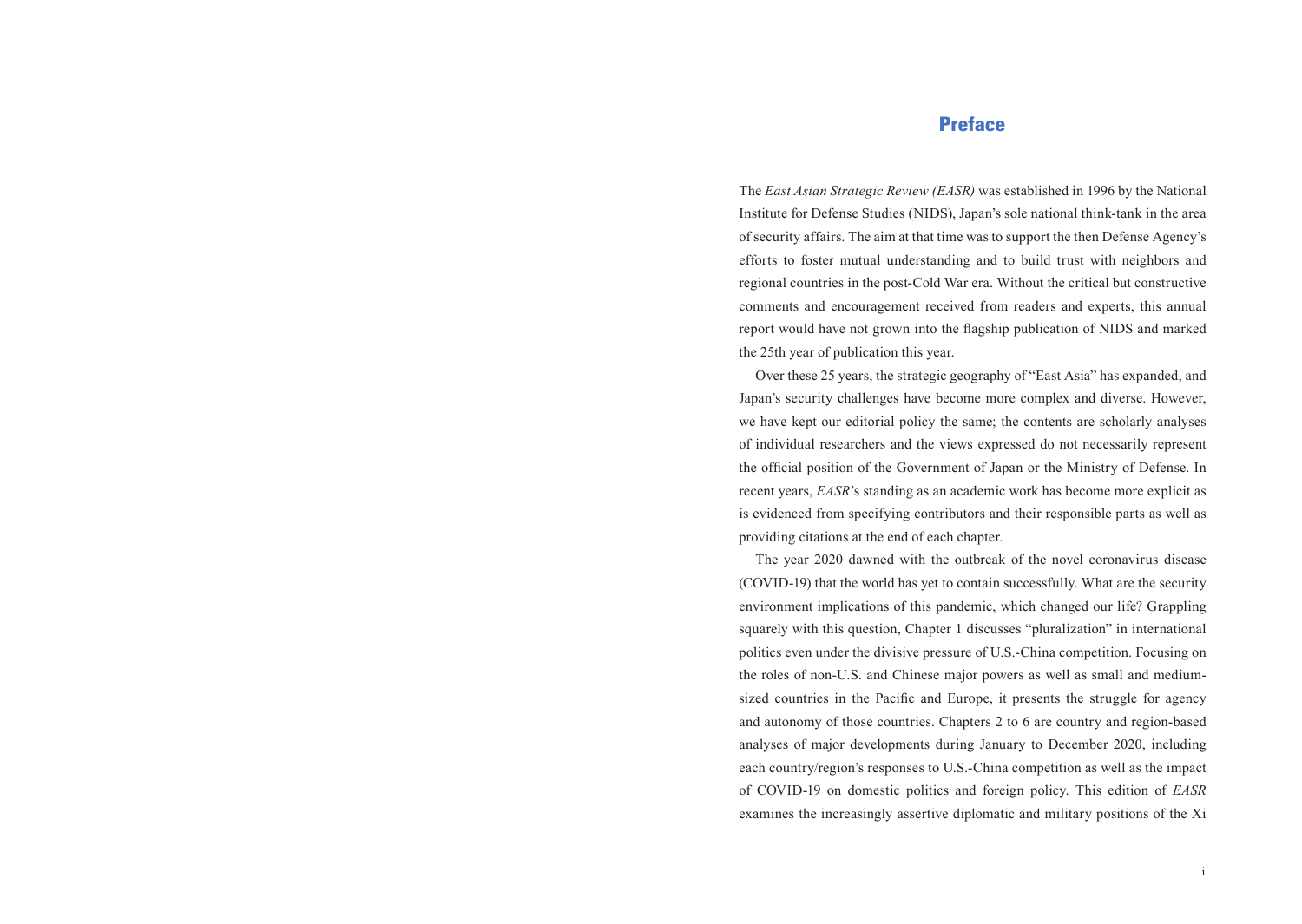## Preface

The *East Asian Strategic Review (EASR)* was established in 1996 by the National Institute for Defense Studies (NIDS), Japan's sole national think-tank in the area of security affairs. The aim at that time was to support the then Defense Agency's efforts to foster mutual understanding and to build trust with neighbors and regional countries in the post-Cold War era. Without the critical but constructive comments and encouragement received from readers and experts, this annual report would have not grown into the flagship publication of NIDS and marked the 25th year of publication this year.

Over these 25 years, the strategic geography of "East Asia" has expanded, and Japan's security challenges have become more complex and diverse. However, we have kept our editorial policy the same; the contents are scholarly analyses of individual researchers and the views expressed do not necessarily represent the official position of the Government of Japan or the Ministry of Defense. In recent years, *EASR*'s standing as an academic work has become more explicit as is evidenced from specifying contributors and their responsible parts as well as providing citations at the end of each chapter.

The year 2020 dawned with the outbreak of the novel coronavirus disease (COVID-19) that the world has yet to contain successfully. What are the security environment implications of this pandemic, which changed our life? Grappling squarely with this question, Chapter 1 discusses "pluralization" in international politics even under the divisive pressure of U.S.-China competition. Focusing on the roles of non-U.S. and Chinese major powers as well as small and mediumsized countries in the Pacific and Europe, it presents the struggle for agency and autonomy of those countries. Chapters 2 to 6 are country and region-based analyses of major developments during January to December 2020, including each country/region's responses to U.S.-China competition as well as the impact of COVID-19 on domestic politics and foreign policy. This edition of *EASR* examines the increasingly assertive diplomatic and military positions of the Xi